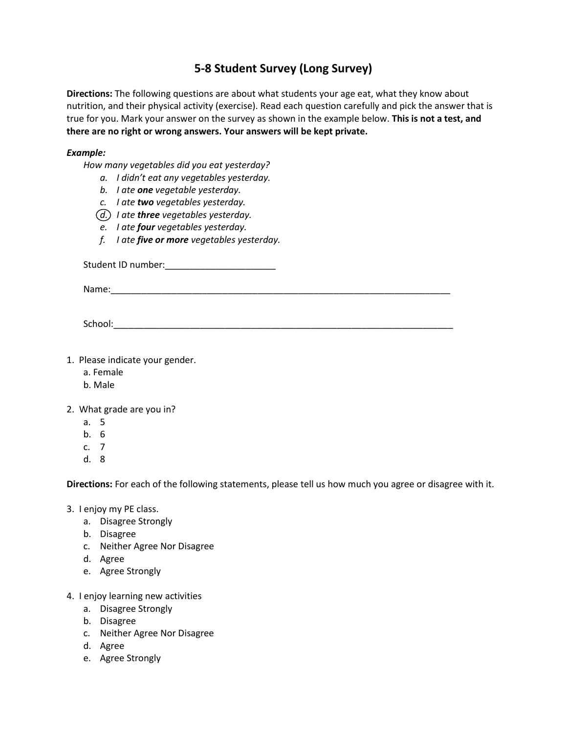## **5-8 Student Survey (Long Survey)**

**Directions:** The following questions are about what students your age eat, what they know about nutrition, and their physical activity (exercise). Read each question carefully and pick the answer that is true for you. Mark your answer on the survey as shown in the example below. **This is not a test, and there are no right or wrong answers. Your answers will be kept private.**

## *Example:*

*How many vegetables did you eat yesterday?*

- *a. I didn't eat any vegetables yesterday.*
- *b. I ate one vegetable yesterday.*
- *c. I ate two vegetables yesterday.*
- *d. I ate three vegetables yesterday.*
- *e. I ate four vegetables yesterday.*
- *f. I ate five or more vegetables yesterday.*

Student ID number:\_\_\_\_\_\_\_\_\_\_\_\_\_\_\_\_\_\_\_\_\_\_

Name:

School:\_\_\_\_\_\_\_\_\_\_\_\_\_\_\_\_\_\_\_\_\_\_\_\_\_\_\_\_\_\_\_\_\_\_\_\_\_\_\_\_\_\_\_\_\_\_\_\_\_\_\_\_\_\_\_\_\_\_\_\_\_\_\_\_\_\_\_

- 1. Please indicate your gender.
	- a. Female
	- b. Male

2. What grade are you in?

- a. 5
- b. 6
- c. 7
- d. 8

**Directions:** For each of the following statements, please tell us how much you agree or disagree with it.

- 3. I enjoy my PE class.
	- a. Disagree Strongly
	- b. Disagree
	- c. Neither Agree Nor Disagree
	- d. Agree
	- e. Agree Strongly
- 4. I enjoy learning new activities
	- a. Disagree Strongly
	- b. Disagree
	- c. Neither Agree Nor Disagree
	- d. Agree
	- e. Agree Strongly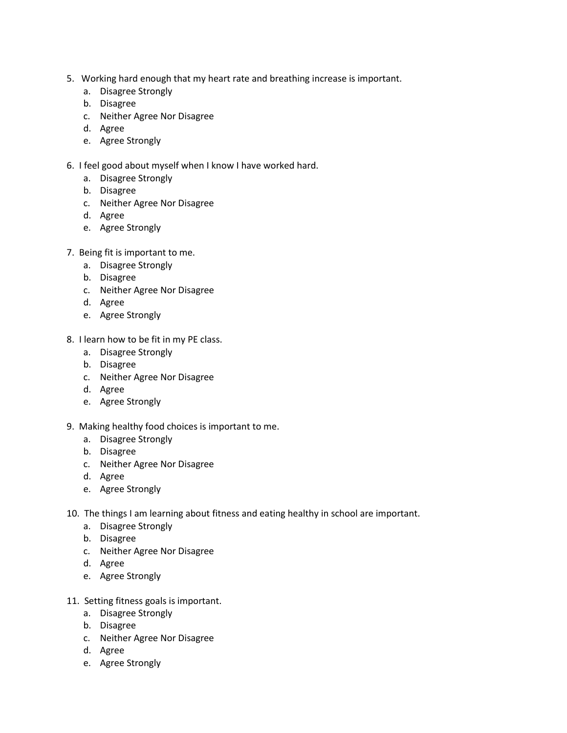- 5. Working hard enough that my heart rate and breathing increase is important.
	- a. Disagree Strongly
	- b. Disagree
	- c. Neither Agree Nor Disagree
	- d. Agree
	- e. Agree Strongly
- 6. I feel good about myself when I know I have worked hard.
	- a. Disagree Strongly
	- b. Disagree
	- c. Neither Agree Nor Disagree
	- d. Agree
	- e. Agree Strongly
- 7. Being fit is important to me.
	- a. Disagree Strongly
	- b. Disagree
	- c. Neither Agree Nor Disagree
	- d. Agree
	- e. Agree Strongly
- 8. I learn how to be fit in my PE class.
	- a. Disagree Strongly
	- b. Disagree
	- c. Neither Agree Nor Disagree
	- d. Agree
	- e. Agree Strongly
- 9. Making healthy food choices is important to me.
	- a. Disagree Strongly
	- b. Disagree
	- c. Neither Agree Nor Disagree
	- d. Agree
	- e. Agree Strongly
- 10. The things I am learning about fitness and eating healthy in school are important.
	- a. Disagree Strongly
	- b. Disagree
	- c. Neither Agree Nor Disagree
	- d. Agree
	- e. Agree Strongly
- 11. Setting fitness goals is important.
	- a. Disagree Strongly
	- b. Disagree
	- c. Neither Agree Nor Disagree
	- d. Agree
	- e. Agree Strongly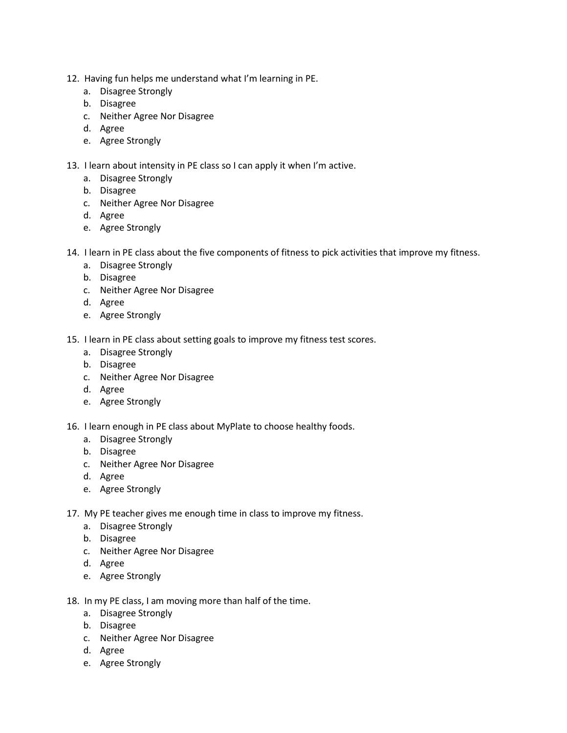- 12. Having fun helps me understand what I'm learning in PE.
	- a. Disagree Strongly
	- b. Disagree
	- c. Neither Agree Nor Disagree
	- d. Agree
	- e. Agree Strongly
- 13. I learn about intensity in PE class so I can apply it when I'm active.
	- a. Disagree Strongly
	- b. Disagree
	- c. Neither Agree Nor Disagree
	- d. Agree
	- e. Agree Strongly
- 14. I learn in PE class about the five components of fitness to pick activities that improve my fitness.
	- a. Disagree Strongly
	- b. Disagree
	- c. Neither Agree Nor Disagree
	- d. Agree
	- e. Agree Strongly
- 15. I learn in PE class about setting goals to improve my fitness test scores.
	- a. Disagree Strongly
	- b. Disagree
	- c. Neither Agree Nor Disagree
	- d. Agree
	- e. Agree Strongly
- 16. I learn enough in PE class about MyPlate to choose healthy foods.
	- a. Disagree Strongly
	- b. Disagree
	- c. Neither Agree Nor Disagree
	- d. Agree
	- e. Agree Strongly
- 17. My PE teacher gives me enough time in class to improve my fitness.
	- a. Disagree Strongly
	- b. Disagree
	- c. Neither Agree Nor Disagree
	- d. Agree
	- e. Agree Strongly
- 18. In my PE class, I am moving more than half of the time.
	- a. Disagree Strongly
	- b. Disagree
	- c. Neither Agree Nor Disagree
	- d. Agree
	- e. Agree Strongly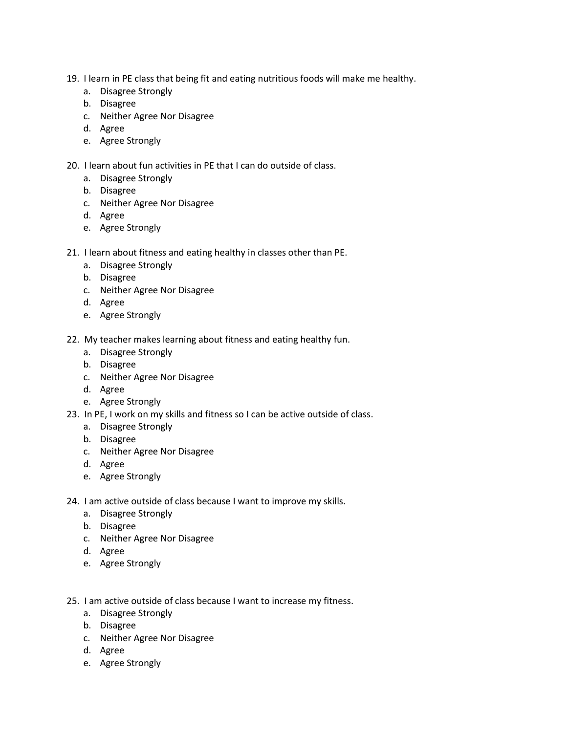- 19. I learn in PE class that being fit and eating nutritious foods will make me healthy.
	- a. Disagree Strongly
	- b. Disagree
	- c. Neither Agree Nor Disagree
	- d. Agree
	- e. Agree Strongly
- 20. I learn about fun activities in PE that I can do outside of class.
	- a. Disagree Strongly
	- b. Disagree
	- c. Neither Agree Nor Disagree
	- d. Agree
	- e. Agree Strongly
- 21. I learn about fitness and eating healthy in classes other than PE.
	- a. Disagree Strongly
	- b. Disagree
	- c. Neither Agree Nor Disagree
	- d. Agree
	- e. Agree Strongly
- 22. My teacher makes learning about fitness and eating healthy fun.
	- a. Disagree Strongly
	- b. Disagree
	- c. Neither Agree Nor Disagree
	- d. Agree
	- e. Agree Strongly
- 23. In PE, I work on my skills and fitness so I can be active outside of class.
	- a. Disagree Strongly
	- b. Disagree
	- c. Neither Agree Nor Disagree
	- d. Agree
	- e. Agree Strongly
- 24. I am active outside of class because I want to improve my skills.
	- a. Disagree Strongly
	- b. Disagree
	- c. Neither Agree Nor Disagree
	- d. Agree
	- e. Agree Strongly
- 25. I am active outside of class because I want to increase my fitness.
	- a. Disagree Strongly
	- b. Disagree
	- c. Neither Agree Nor Disagree
	- d. Agree
	- e. Agree Strongly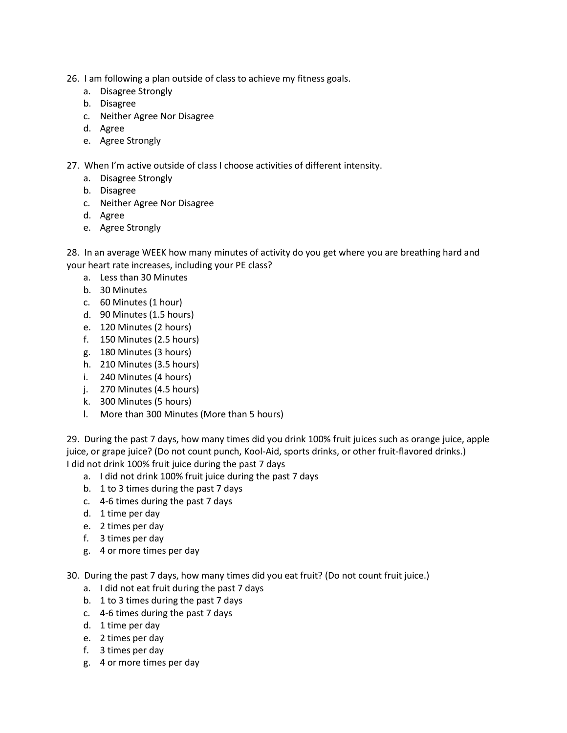- 26. I am following a plan outside of class to achieve my fitness goals.
	- a. Disagree Strongly
	- b. Disagree
	- c. Neither Agree Nor Disagree
	- d. Agree
	- e. Agree Strongly

27. When I'm active outside of class I choose activities of different intensity.

- a. Disagree Strongly
- b. Disagree
- c. Neither Agree Nor Disagree
- d. Agree
- e. Agree Strongly

28. In an average WEEK how many minutes of activity do you get where you are breathing hard and your heart rate increases, including your PE class?

- a. Less than 30 Minutes
- b. 30 Minutes
- c. 60 Minutes (1 hour)
- d. 90 Minutes (1.5 hours)
- e. 120 Minutes (2 hours)
- f. 150 Minutes (2.5 hours)
- g. 180 Minutes (3 hours)
- h. 210 Minutes (3.5 hours)
- i. 240 Minutes (4 hours)
- j. 270 Minutes (4.5 hours)
- k. 300 Minutes (5 hours)
- l. More than 300 Minutes (More than 5 hours)

29. During the past 7 days, how many times did you drink 100% fruit juices such as orange juice, apple juice, or grape juice? (Do not count punch, Kool-Aid, sports drinks, or other fruit-flavored drinks.) I did not drink 100% fruit juice during the past 7 days

- a. I did not drink 100% fruit juice during the past 7 days
- b. 1 to 3 times during the past 7 days
- c. 4-6 times during the past 7 days
- d. 1 time per day
- e. 2 times per day
- f. 3 times per day
- g. 4 or more times per day
- 30. During the past 7 days, how many times did you eat fruit? (Do not count fruit juice.)
	- a. I did not eat fruit during the past 7 days
	- b. 1 to 3 times during the past 7 days
	- c. 4-6 times during the past 7 days
	- d. 1 time per day
	- e. 2 times per day
	- f. 3 times per day
	- g. 4 or more times per day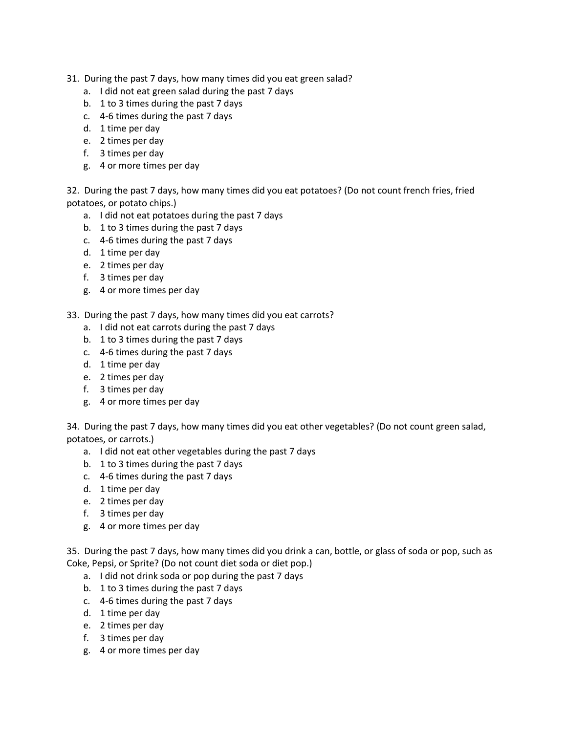- 31. During the past 7 days, how many times did you eat green salad?
	- a. I did not eat green salad during the past 7 days
	- b. 1 to 3 times during the past 7 days
	- c. 4-6 times during the past 7 days
	- d. 1 time per day
	- e. 2 times per day
	- f. 3 times per day
	- g. 4 or more times per day

32. During the past 7 days, how many times did you eat potatoes? (Do not count french fries, fried potatoes, or potato chips.)

- a. I did not eat potatoes during the past 7 days
- b. 1 to 3 times during the past 7 days
- c. 4-6 times during the past 7 days
- d. 1 time per day
- e. 2 times per day
- f. 3 times per day
- g. 4 or more times per day
- 33. During the past 7 days, how many times did you eat carrots?
	- a. I did not eat carrots during the past 7 days
	- b. 1 to 3 times during the past 7 days
	- c. 4-6 times during the past 7 days
	- d. 1 time per day
	- e. 2 times per day
	- f. 3 times per day
	- g. 4 or more times per day

34. During the past 7 days, how many times did you eat other vegetables? (Do not count green salad, potatoes, or carrots.)

- a. I did not eat other vegetables during the past 7 days
- b. 1 to 3 times during the past 7 days
- c. 4-6 times during the past 7 days
- d. 1 time per day
- e. 2 times per day
- f. 3 times per day
- g. 4 or more times per day

35. During the past 7 days, how many times did you drink a can, bottle, or glass of soda or pop, such as Coke, Pepsi, or Sprite? (Do not count diet soda or diet pop.)

- a. I did not drink soda or pop during the past 7 days
- b. 1 to 3 times during the past 7 days
- c. 4-6 times during the past 7 days
- d. 1 time per day
- e. 2 times per day
- f. 3 times per day
- g. 4 or more times per day